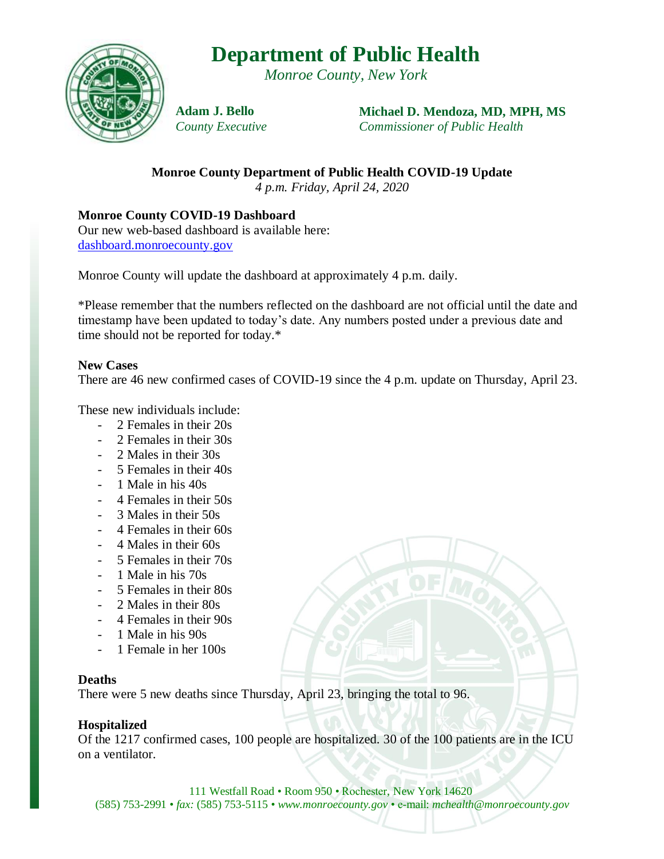# **Department of Public Health**

*Monroe County, New York*



**Adam J. Bello** *County Executive* **Michael D. Mendoza, MD, MPH, MS** *Commissioner of Public Health*

**Monroe County Department of Public Health COVID-19 Update** *4 p.m. Friday, April 24, 2020*

**Monroe County COVID-19 Dashboard**

Our new web-based dashboard is available here: [dashboard.monroecounty.gov](https://mappingmonroe.maps.arcgis.com/apps/opsdashboard/index.html#/217749730f174776a3896b3e8950e03b)

Monroe County will update the dashboard at approximately 4 p.m. daily.

\*Please remember that the numbers reflected on the dashboard are not official until the date and timestamp have been updated to today's date. Any numbers posted under a previous date and time should not be reported for today.\*

#### **New Cases**

There are 46 new confirmed cases of COVID-19 since the 4 p.m. update on Thursday, April 23.

These new individuals include:

- 2 Females in their 20s
- 2 Females in their 30s
- 2 Males in their 30s
- 5 Females in their 40s
- 1 Male in his 40s
- 4 Females in their 50s
- 3 Males in their 50s
- 4 Females in their 60s
- 4 Males in their 60s
- 5 Females in their 70s
- 1 Male in his 70s
- 5 Females in their 80s
- 2 Males in their 80s
- 4 Females in their 90s
- 1 Male in his 90s
- 1 Female in her 100s

### **Deaths**

There were 5 new deaths since Thursday, April 23, bringing the total to 96.

### **Hospitalized**

Of the 1217 confirmed cases, 100 people are hospitalized. 30 of the 100 patients are in the ICU on a ventilator.

111 Westfall Road • Room 950 • Rochester, New York 14620 (585) 753-2991 • *fax:* (585) 753-5115 • *www.monroecounty.gov* • e-mail: *mchealth@monroecounty.gov*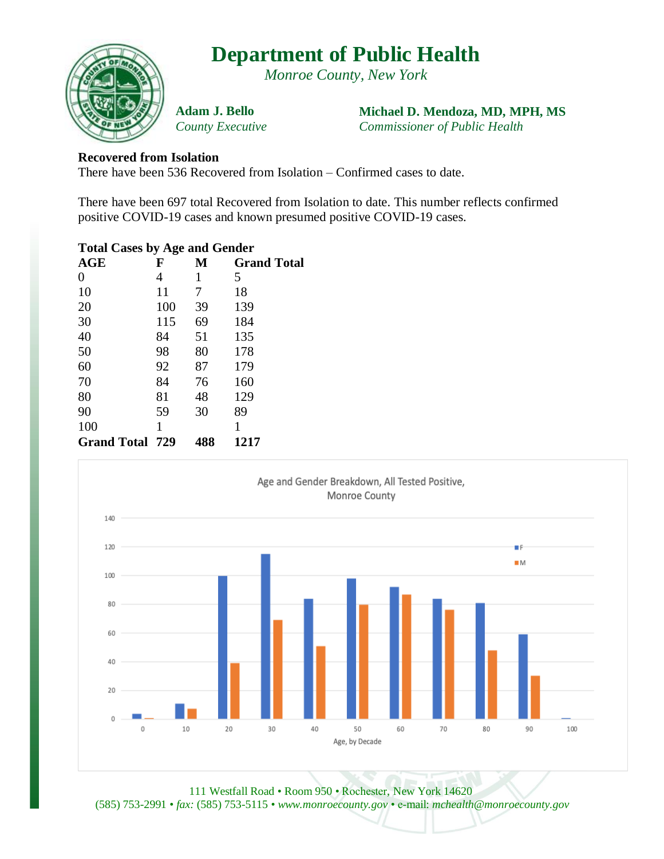# **Department of Public Health**

*Monroe County, New York*



**Adam J. Bello** *County Executive* **Michael D. Mendoza, MD, MPH, MS** *Commissioner of Public Health*

### **Recovered from Isolation**

There have been 536 Recovered from Isolation – Confirmed cases to date.

There have been 697 total Recovered from Isolation to date. This number reflects confirmed positive COVID-19 cases and known presumed positive COVID-19 cases.

| <b>Total Cases by Age and Gender</b> |     |     |                    |
|--------------------------------------|-----|-----|--------------------|
| AGE                                  | F   | М   | <b>Grand Total</b> |
| 0                                    | 4   | 1   | 5                  |
| 10                                   | 11  | 7   | 18                 |
| 20                                   | 100 | 39  | 139                |
| 30                                   | 115 | 69  | 184                |
| 40                                   | 84  | 51  | 135                |
| 50                                   | 98  | 80  | 178                |
| 60                                   | 92  | 87  | 179                |
| 70                                   | 84  | 76  | 160                |
| 80                                   | 81  | 48  | 129                |
| 90                                   | 59  | 30  | 89                 |
| 100                                  | 1   |     | 1                  |
| <b>Grand Total 729</b>               |     | 488 | 1217               |
|                                      |     |     |                    |



111 Westfall Road • Room 950 • Rochester, New York 14620 (585) 753-2991 • *fax:* (585) 753-5115 • *www.monroecounty.gov* • e-mail: *mchealth@monroecounty.gov*